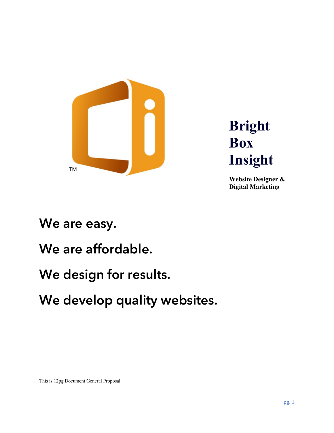

**Bright Box Insight**

**Website Designer & Digital Marketing**

### **We are easy.**

## **We are affordable.**

## **We design for results.**

# **We develop quality websites.**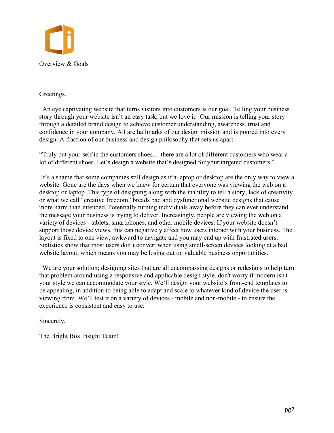

#### Greetings,

An eye captivating website that turns visitors into customers is our goal. Telling your business story through your website isn't an easy task, but we love it. Our mission is telling your story through a detailed brand design to achieve customer understanding, awareness, trust and confidence in your company. All are hallmarks of our design mission and is poured into every design. A fraction of our business and design philosophy that sets us apart.

"Truly put your-self in the customers shoes… there are a lot of different customers who wear a lot of different shoes. Let's design a website that's designed for your targeted customers."

It's a shame that some companies still design as if a laptop or desktop are the only way to view a website. Gone are the days when we knew for certain that everyone was viewing the web on a desktop or laptop. This type of designing along with the inability to tell a story, lack of creativity or what we call "creative freedom" breads bad and dysfunctional website designs that cause more harm than intended. Potentially turning individuals away before they can ever understand the message your business is trying to deliver. Increasingly, people are viewing the web on a variety of devices - tablets, smartphones, and other mobile devices. If your website doesn't support those device views, this can negatively affect how users interact with your business. The layout is fixed to one view, awkward to navigate and you may end up with frustrated users. Statistics show that most users don't convert when using small-screen devices looking at a bad website layout, which means you may be losing out on valuable business opportunities.

We are your solution; designing sites that are all encompassing designs or redesigns to help turn that problem around using a responsive and applicable design style, don't worry if modern isn't your style we can accommodate your style. We'll design your website's front-end templates to be appealing, in addition to being able to adapt and scale to whatever kind of device the user is viewing from. We'll test it on a variety of devices - mobile and non-mobile - to ensure the experience is consistent and easy to use.

Sincerely,

The Bright Box Insight Team!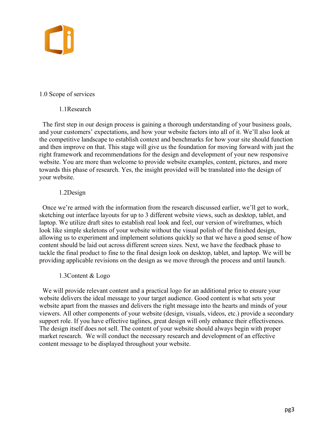

#### 1.0 Scope of services

#### 1.1Research

The first step in our design process is gaining a thorough understanding of your business goals, and your customers' expectations, and how your website factors into all of it. We'll also look at the competitive landscape to establish context and benchmarks for how your site should function and then improve on that. This stage will give us the foundation for moving forward with just the right framework and recommendations for the design and development of your new responsive website. You are more than welcome to provide website examples, content, pictures, and more towards this phase of research. Yes, the insight provided will be translated into the design of your website.

#### 1.2Design

Once we're armed with the information from the research discussed earlier, we'll get to work, sketching out interface layouts for up to 3 different website views, such as desktop, tablet, and laptop. We utilize draft sites to establish real look and feel, our version of wireframes, which look like simple skeletons of your website without the visual polish of the finished design, allowing us to experiment and implement solutions quickly so that we have a good sense of how content should be laid out across different screen sizes. Next, we have the feedback phase to tackle the final product to fine to the final design look on desktop, tablet, and laptop. We will be providing applicable revisions on the design as we move through the process and until launch.

#### 1.3Content & Logo

 We will provide relevant content and a practical logo for an additional price to ensure your website delivers the ideal message to your target audience. Good content is what sets your website apart from the masses and delivers the right message into the hearts and minds of your viewers. All other components of your website (design, visuals, videos, etc.) provide a secondary support role. If you have effective taglines, great design will only enhance their effectiveness. The design itself does not sell. The content of your website should always begin with proper market research. We will conduct the necessary research and development of an effective content message to be displayed throughout your website.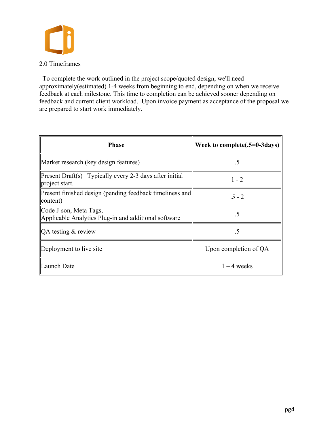

To complete the work outlined in the project scope/quoted design, we'll need approximately(estimated) 1-4 weeks from beginning to end, depending on when we receive feedback at each milestone. This time to completion can be achieved sooner depending on feedback and current client workload. Upon invoice payment as acceptance of the proposal we are prepared to start work immediately.

| <b>Phase</b>                                                                   | Week to complete( $.5=0-3$ days) |
|--------------------------------------------------------------------------------|----------------------------------|
| Market research (key design features)                                          | .5                               |
| Present Draft(s)   Typically every 2-3 days after initial<br>project start.    | $1 - 2$                          |
| Present finished design (pending feedback timeliness and<br>content)           | $.5 - 2$                         |
| Code J-son, Meta Tags,<br>Applicable Analytics Plug-in and additional software | .5                               |
| $\overline{QA}$ testing & review                                               | .5                               |
| Deployment to live site                                                        | Upon completion of QA            |
| Launch Date                                                                    | $1 - 4$ weeks                    |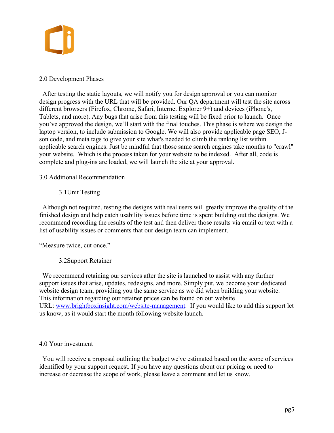

#### 2.0 Development Phases

After testing the static layouts, we will notify you for design approval or you can monitor design progress with the URL that will be provided. Our QA department will test the site across different browsers (Firefox, Chrome, Safari, Internet Explorer 9+) and devices (iPhone's, Tablets, and more). Any bugs that arise from this testing will be fixed prior to launch. Once you've approved the design, we'll start with the final touches. This phase is where we design the laptop version, to include submission to Google. We will also provide applicable page SEO, Json code, and meta tags to give your site what's needed to climb the ranking list within applicable search engines. Just be mindful that those same search engines take months to "crawl" your website. Which is the process taken for your website to be indexed. After all, code is complete and plug-ins are loaded, we will launch the site at your approval.

#### 3.0 Additional Recommendation

#### 3.1Unit Testing

 Although not required, testing the designs with real users will greatly improve the quality of the finished design and help catch usability issues before time is spent building out the designs. We recommend recording the results of the test and then deliver those results via email or text with a list of usability issues or comments that our design team can implement.

"Measure twice, cut once."

#### 3.2Support Retainer

We recommend retaining our services after the site is launched to assist with any further support issues that arise, updates, redesigns, and more. Simply put, we become your dedicated website design team, providing you the same service as we did when building your website. This information regarding our retainer prices can be found on our website URL: www.brightboxinsight.com/website-management. If you would like to add this support let us know, as it would start the month following website launch.

#### 4.0 Your investment

You will receive a proposal outlining the budget we've estimated based on the scope of services identified by your support request. If you have any questions about our pricing or need to increase or decrease the scope of work, please leave a comment and let us know.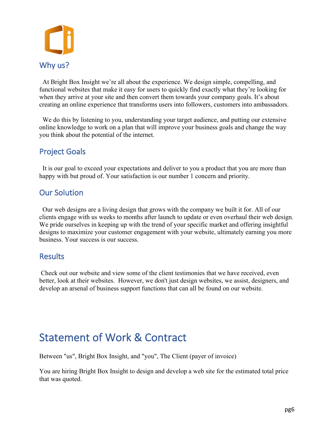

At Bright Box Insight we're all about the experience. We design simple, compelling, and functional websites that make it easy for users to quickly find exactly what they're looking for when they arrive at your site and then convert them towards your company goals. It's about creating an online experience that transforms users into followers, customers into ambassadors.

We do this by listening to you, understanding your target audience, and putting our extensive online knowledge to work on a plan that will improve your business goals and change the way you think about the potential of the internet.

### Project Goals

It is our goal to exceed your expectations and deliver to you a product that you are more than happy with but proud of. Your satisfaction is our number 1 concern and priority.

#### Our Solution

Our web designs are a living design that grows with the company we built it for. All of our clients engage with us weeks to months after launch to update or even overhaul their web design. We pride ourselves in keeping up with the trend of your specific market and offering insightful designs to maximize your customer engagement with your website, ultimately earning you more business. Your success is our success.

#### **Results**

Check out our website and view some of the client testimonies that we have received, even better, look at their websites. However, we don't just design websites, we assist, designers, and develop an arsenal of business support functions that can all be found on our website.

### Statement of Work & Contract

Between "us", Bright Box Insight, and "you", The Client (payer of invoice)

You are hiring Bright Box Insight to design and develop a web site for the estimated total price that was quoted.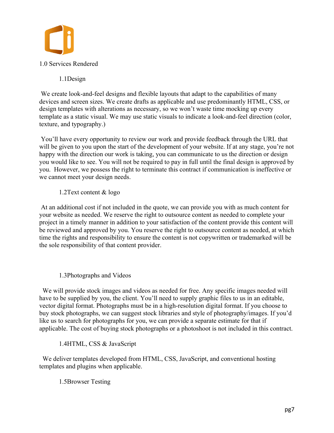

1.1Design

We create look-and-feel designs and flexible layouts that adapt to the capabilities of many devices and screen sizes. We create drafts as applicable and use predominantly HTML, CSS, or design templates with alterations as necessary, so we won't waste time mocking up every template as a static visual. We may use static visuals to indicate a look-and-feel direction (color, texture, and typography.)

You'll have every opportunity to review our work and provide feedback through the URL that will be given to you upon the start of the development of your website. If at any stage, you're not happy with the direction our work is taking, you can communicate to us the direction or design you would like to see. You will not be required to pay in full until the final design is approved by you. However, we possess the right to terminate this contract if communication is ineffective or we cannot meet your design needs.

1.2Text content & logo

At an additional cost if not included in the quote, we can provide you with as much content for your website as needed. We reserve the right to outsource content as needed to complete your project in a timely manner in addition to your satisfaction of the content provide this content will be reviewed and approved by you. You reserve the right to outsource content as needed, at which time the rights and responsibility to ensure the content is not copywritten or trademarked will be the sole responsibility of that content provider.

#### 1.3Photographs and Videos

We will provide stock images and videos as needed for free. Any specific images needed will have to be supplied by you, the client. You'll need to supply graphic files to us in an editable, vector digital format. Photographs must be in a high-resolution digital format. If you choose to buy stock photographs, we can suggest stock libraries and style of photography/images. If you'd like us to search for photographs for you, we can provide a separate estimate for that if applicable. The cost of buying stock photographs or a photoshoot is not included in this contract.

1.4HTML, CSS & JavaScript

We deliver templates developed from HTML, CSS, JavaScript, and conventional hosting templates and plugins when applicable.

1.5Browser Testing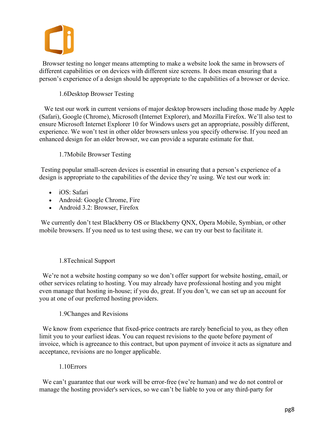

Browser testing no longer means attempting to make a website look the same in browsers of different capabilities or on devices with different size screens. It does mean ensuring that a person's experience of a design should be appropriate to the capabilities of a browser or device.

#### 1.6Desktop Browser Testing

We test our work in current versions of major desktop browsers including those made by Apple (Safari), Google (Chrome), Microsoft (Internet Explorer), and Mozilla Firefox. We'll also test to ensure Microsoft Internet Explorer 10 for Windows users get an appropriate, possibly different, experience. We won't test in other older browsers unless you specify otherwise. If you need an enhanced design for an older browser, we can provide a separate estimate for that.

#### 1.7Mobile Browser Testing

Testing popular small-screen devices is essential in ensuring that a person's experience of a design is appropriate to the capabilities of the device they're using. We test our work in:

- iOS: Safari
- Android: Google Chrome, Fire
- Android 3.2: Browser, Firefox

We currently don't test Blackberry OS or Blackberry QNX, Opera Mobile, Symbian, or other mobile browsers. If you need us to test using these, we can try our best to facilitate it.

#### 1.8Technical Support

We're not a website hosting company so we don't offer support for website hosting, email, or other services relating to hosting. You may already have professional hosting and you might even manage that hosting in-house; if you do, great. If you don't, we can set up an account for you at one of our preferred hosting providers.

1.9Changes and Revisions

We know from experience that fixed-price contracts are rarely beneficial to you, as they often limit you to your earliest ideas. You can request revisions to the quote before payment of invoice, which is agreeance to this contract, but upon payment of invoice it acts as signature and acceptance, revisions are no longer applicable.

1.10Errors

 We can't guarantee that our work will be error-free (we're human) and we do not control or manage the hosting provider's services, so we can't be liable to you or any third-party for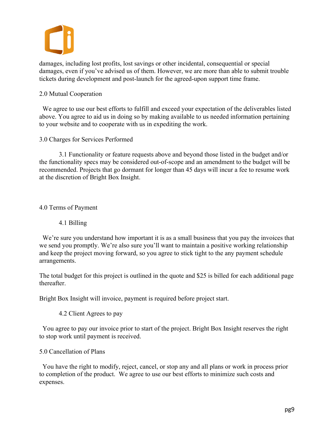damages, including lost profits, lost savings or other incidental, consequential or special damages, even if you've advised us of them. However, we are more than able to submit trouble tickets during development and post-launch for the agreed-upon support time frame.

#### 2.0 Mutual Cooperation

We agree to use our best efforts to fulfill and exceed your expectation of the deliverables listed above. You agree to aid us in doing so by making available to us needed information pertaining to your website and to cooperate with us in expediting the work.

#### 3.0 Charges for Services Performed

3.1 Functionality or feature requests above and beyond those listed in the budget and/or the functionality specs may be considered out-of-scope and an amendment to the budget will be recommended. Projects that go dormant for longer than 45 days will incur a fee to resume work at the discretion of Bright Box Insight.

4.0 Terms of Payment

#### 4.1 Billing

We're sure you understand how important it is as a small business that you pay the invoices that we send you promptly. We're also sure you'll want to maintain a positive working relationship and keep the project moving forward, so you agree to stick tight to the any payment schedule arrangements.

The total budget for this project is outlined in the quote and \$25 is billed for each additional page thereafter.

Bright Box Insight will invoice, payment is required before project start.

4.2 Client Agrees to pay

You agree to pay our invoice prior to start of the project. Bright Box Insight reserves the right to stop work until payment is received.

#### 5.0 Cancellation of Plans

You have the right to modify, reject, cancel, or stop any and all plans or work in process prior to completion of the product. We agree to use our best efforts to minimize such costs and expenses.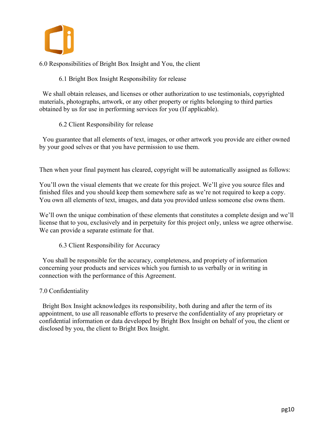

6.0 Responsibilities of Bright Box Insight and You, the client

6.1 Bright Box Insight Responsibility for release

We shall obtain releases, and licenses or other authorization to use testimonials, copyrighted materials, photographs, artwork, or any other property or rights belonging to third parties obtained by us for use in performing services for you (If applicable).

6.2 Client Responsibility for release

You guarantee that all elements of text, images, or other artwork you provide are either owned by your good selves or that you have permission to use them.

Then when your final payment has cleared, copyright will be automatically assigned as follows:

You'll own the visual elements that we create for this project. We'll give you source files and finished files and you should keep them somewhere safe as we're not required to keep a copy. You own all elements of text, images, and data you provided unless someone else owns them.

We'll own the unique combination of these elements that constitutes a complete design and we'll license that to you, exclusively and in perpetuity for this project only, unless we agree otherwise. We can provide a separate estimate for that.

6.3 Client Responsibility for Accuracy

You shall be responsible for the accuracy, completeness, and propriety of information concerning your products and services which you furnish to us verbally or in writing in connection with the performance of this Agreement.

#### 7.0 Confidentiality

 Bright Box Insight acknowledges its responsibility, both during and after the term of its appointment, to use all reasonable efforts to preserve the confidentiality of any proprietary or confidential information or data developed by Bright Box Insight on behalf of you, the client or disclosed by you, the client to Bright Box Insight.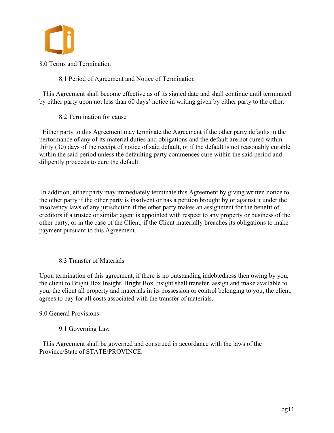

8.0 Terms and Termination

8.1 Period of Agreement and Notice of Termination

 This Agreement shall become effective as of its signed date and shall continue until terminated by either party upon not less than 60 days' notice in writing given by either party to the other.

8.2 Termination for cause

Either party to this Agreement may terminate the Agreement if the other party defaults in the performance of any of its material duties and obligations and the default are not cured within thirty (30) days of the receipt of notice of said default, or if the default is not reasonably curable within the said period unless the defaulting party commences cure within the said period and diligently proceeds to cure the default.

In addition, either party may immediately terminate this Agreement by giving written notice to the other party if the other party is insolvent or has a petition brought by or against it under the insolvency laws of any jurisdiction if the other party makes an assignment for the benefit of creditors if a trustee or similar agent is appointed with respect to any property or business of the other party, or in the case of the Client, if the Client materially breaches its obligations to make payment pursuant to this Agreement.

#### 8.3 Transfer of Materials

Upon termination of this agreement, if there is no outstanding indebtedness then owing by you, the client to Bright Box Insight, Bright Box Insight shall transfer, assign and make available to you, the client all property and materials in its possession or control belonging to you, the client, agrees to pay for all costs associated with the transfer of materials.

#### 9.0 General Provisions

9.1 Governing Law

This Agreement shall be governed and construed in accordance with the laws of the Province/State of STATE/PROVINCE.